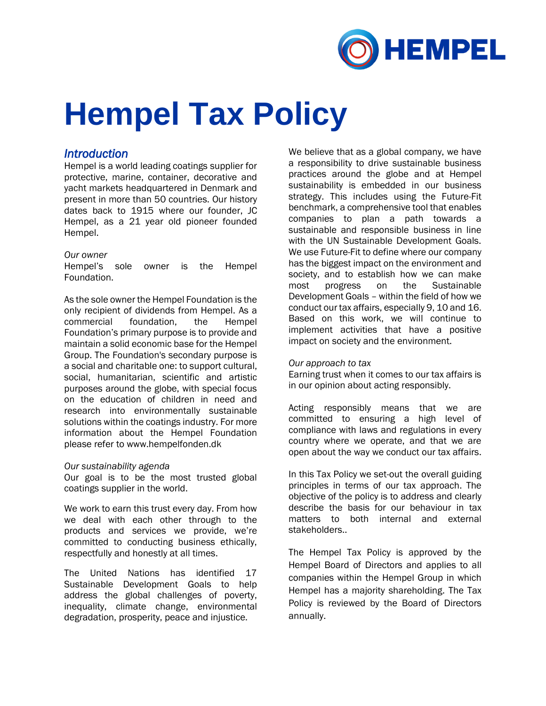

# **Hempel Tax Policy**

# *Introduction*

Hempel is a world leading coatings supplier for protective, marine, container, decorative and yacht markets headquartered in Denmark and present in more than 50 countries. Our history dates back to 1915 where our founder, JC Hempel, as a 21 year old pioneer founded Hempel.

## *Our owner*

Hempel's sole owner is the Hempel Foundation.

As the sole owner the Hempel Foundation is the only recipient of dividends from Hempel. As a commercial foundation, the Hempel Foundation's primary purpose is to provide and maintain a solid economic base for the Hempel Group. The Foundation's secondary purpose is a social and charitable one: to support cultural, social, humanitarian, scientific and artistic purposes around the globe, with special focus on the education of children in need and research into environmentally sustainable solutions within the coatings industry. For more information about the Hempel Foundation please refer to www.hempelfonden.dk

## *Our sustainability agenda*

Our goal is to be the most trusted global coatings supplier in the world.

We work to earn this trust every day. From how we deal with each other through to the products and services we provide, we're committed to conducting business ethically, respectfully and honestly at all times.

The United Nations has identified 17 Sustainable Development Goals to help address the global challenges of poverty, inequality, climate change, environmental degradation, prosperity, peace and injustice.

We believe that as a global company, we have a responsibility to drive sustainable business practices around the globe and at Hempel sustainability is embedded in our business strategy. This includes using the Future-Fit benchmark, a comprehensive tool that enables companies to plan a path towards a sustainable and responsible business in line with the UN Sustainable Development Goals. We use Future-Fit to define where our company has the biggest impact on the environment and society, and to establish how we can make most progress on the Sustainable Development Goals – within the field of how we conduct our tax affairs, especially 9, 10 and 16. Based on this work, we will continue to implement activities that have a positive impact on society and the environment.

## *Our approach to tax*

Earning trust when it comes to our tax affairs is in our opinion about acting responsibly.

Acting responsibly means that we are committed to ensuring a high level of compliance with laws and regulations in every country where we operate, and that we are open about the way we conduct our tax affairs.

In this Tax Policy we set-out the overall guiding principles in terms of our tax approach. The objective of the policy is to address and clearly describe the basis for our behaviour in tax matters to both internal and external stakeholders..

The Hempel Tax Policy is approved by the Hempel Board of Directors and applies to all companies within the Hempel Group in which Hempel has a majority shareholding. The Tax Policy is reviewed by the Board of Directors annually.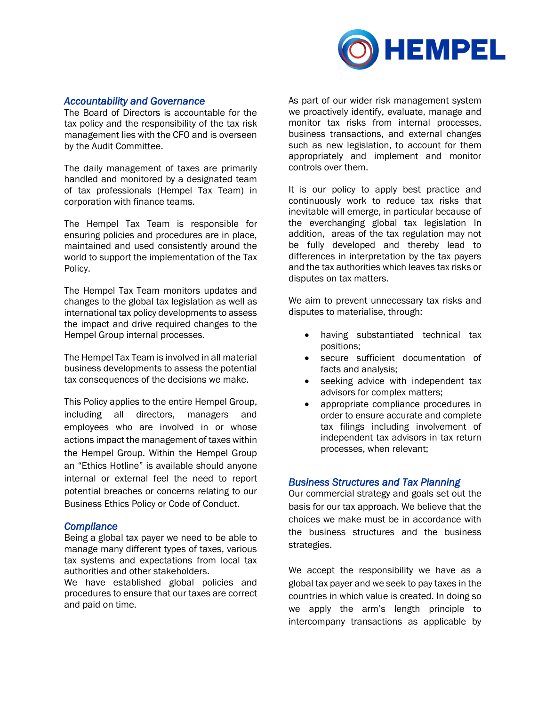

## *Accountability and Governance*

The Board of Directors is accountable for the tax policy and the responsibility of the tax risk management lies with the CFO and is overseen by the Audit Committee.

The daily management of taxes are primarily handled and monitored by a designated team of tax professionals (Hempel Tax Team) in corporation with finance teams.

The Hempel Tax Team is responsible for ensuring policies and procedures are in place, maintained and used consistently around the world to support the implementation of the Tax Policy.

The Hempel Tax Team monitors updates and changes to the global tax legislation as well as international tax policy developments to assess the impact and drive required changes to the Hempel Group internal processes.

The Hempel Tax Team is involved in all material business developments to assess the potential tax consequences of the decisions we make.

This Policy applies to the entire Hempel Group, including all directors, managers and employees who are involved in or whose actions impact the management of taxes within the Hempel Group. Within the Hempel Group an "Ethics Hotline" is available should anyone internal or external feel the need to report potential breaches or concerns relating to our Business Ethics Policy or Code of Conduct.

#### *Compliance*

Being a global tax payer we need to be able to manage many different types of taxes, various tax systems and expectations from local tax authorities and other stakeholders.

We have established global policies and procedures to ensure that our taxes are correct and paid on time.

As part of our wider risk management system we proactively identify, evaluate, manage and monitor tax risks from internal processes, business transactions, and external changes such as new legislation, to account for them appropriately and implement and monitor controls over them.

It is our policy to apply best practice and continuously work to reduce tax risks that inevitable will emerge, in particular because of the everchanging global tax legislation In addition, areas of the tax regulation may not be fully developed and thereby lead to differences in interpretation by the tax payers and the tax authorities which leaves tax risks or disputes on tax matters.

We aim to prevent unnecessary tax risks and disputes to materialise, through:

- having substantiated technical tax positions;
- secure sufficient documentation of facts and analysis;
- seeking advice with independent tax advisors for complex matters;
- appropriate compliance procedures in order to ensure accurate and complete tax filings including involvement of independent tax advisors in tax return processes, when relevant;

## *Business Structures and Tax Planning*

Our commercial strategy and goals set out the basis for our tax approach. We believe that the choices we make must be in accordance with the business structures and the business strategies.

We accept the responsibility we have as a global tax payer and we seek to pay taxes in the countries in which value is created. In doing so we apply the arm's length principle to intercompany transactions as applicable by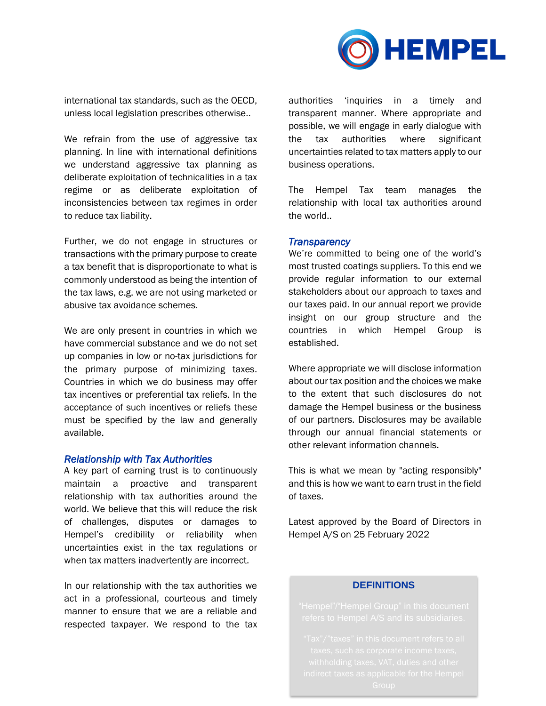

international tax standards, such as the OECD, unless local legislation prescribes otherwise..

We refrain from the use of aggressive tax planning. In line with international definitions we understand aggressive tax planning as deliberate exploitation of technicalities in a tax regime or as deliberate exploitation of inconsistencies between tax regimes in order to reduce tax liability.

Further, we do not engage in structures or transactions with the primary purpose to create a tax benefit that is disproportionate to what is commonly understood as being the intention of the tax laws, e.g. we are not using marketed or abusive tax avoidance schemes.

We are only present in countries in which we have commercial substance and we do not set up companies in low or no-tax jurisdictions for the primary purpose of minimizing taxes. Countries in which we do business may offer tax incentives or preferential tax reliefs. In the acceptance of such incentives or reliefs these must be specified by the law and generally available.

#### *Relationship with Tax Authorities*

A key part of earning trust is to continuously maintain a proactive and transparent relationship with tax authorities around the world. We believe that this will reduce the risk of challenges, disputes or damages to Hempel's credibility or reliability when uncertainties exist in the tax regulations or when tax matters inadvertently are incorrect.

In our relationship with the tax authorities we act in a professional, courteous and timely manner to ensure that we are a reliable and respected taxpayer. We respond to the tax

authorities 'inquiries in a timely and transparent manner. Where appropriate and possible, we will engage in early dialogue with the tax authorities where significant uncertainties related to tax matters apply to our business operations.

The Hempel Tax team manages the relationship with local tax authorities around the world..

#### *Transparency*

We're committed to being one of the world's most trusted coatings suppliers. To this end we provide regular information to our external stakeholders about our approach to taxes and our taxes paid. In our annual report we provide insight on our group structure and the countries in which Hempel Group is established.

Where appropriate we will disclose information about our tax position and the choices we make to the extent that such disclosures do not damage the Hempel business or the business of our partners. Disclosures may be available through our annual financial statements or other relevant information channels.

This is what we mean by "acting responsibly" and this is how we want to earn trust in the field of taxes.

Latest approved by the Board of Directors in Hempel A/S on 25 February 2022

### **DEFINITIONS**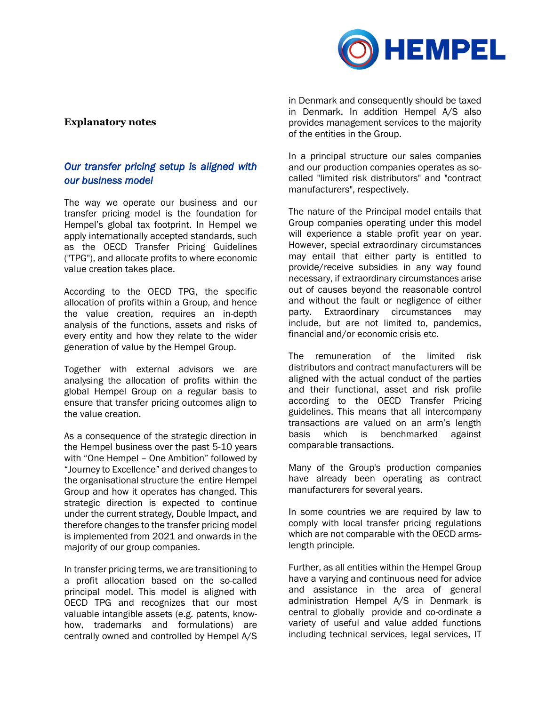

## **Explanatory notes**

# *Our transfer pricing setup is aligned with our business model*

The way we operate our business and our transfer pricing model is the foundation for Hempel's global tax footprint. In Hempel we apply internationally accepted standards, such as the OECD Transfer Pricing Guidelines ("TPG"), and allocate profits to where economic value creation takes place.

According to the OECD TPG, the specific allocation of profits within a Group, and hence the value creation, requires an in-depth analysis of the functions, assets and risks of every entity and how they relate to the wider generation of value by the Hempel Group.

Together with external advisors we are analysing the allocation of profits within the global Hempel Group on a regular basis to ensure that transfer pricing outcomes align to the value creation.

As a consequence of the strategic direction in the Hempel business over the past 5-10 years with "One Hempel – One Ambition" followed by "Journey to Excellence" and derived changes to the organisational structure the entire Hempel Group and how it operates has changed. This strategic direction is expected to continue under the current strategy, Double Impact, and therefore changes to the transfer pricing model is implemented from 2021 and onwards in the majority of our group companies.

In transfer pricing terms, we are transitioning to a profit allocation based on the so-called principal model. This model is aligned with OECD TPG and recognizes that our most valuable intangible assets (e.g. patents, knowhow, trademarks and formulations) are centrally owned and controlled by Hempel A/S

in Denmark and consequently should be taxed in Denmark. In addition Hempel A/S also provides management services to the majority of the entities in the Group.

In a principal structure our sales companies and our production companies operates as socalled "limited risk distributors" and "contract manufacturers", respectively.

The nature of the Principal model entails that Group companies operating under this model will experience a stable profit year on year. However, special extraordinary circumstances may entail that either party is entitled to provide/receive subsidies in any way found necessary, if extraordinary circumstances arise out of causes beyond the reasonable control and without the fault or negligence of either party. Extraordinary circumstances may include, but are not limited to, pandemics, financial and/or economic crisis etc.

The remuneration of the limited risk distributors and contract manufacturers will be aligned with the actual conduct of the parties and their functional, asset and risk profile according to the OECD Transfer Pricing guidelines. This means that all intercompany transactions are valued on an arm's length basis which is benchmarked against comparable transactions.

Many of the Group's production companies have already been operating as contract manufacturers for several years.

In some countries we are required by law to comply with local transfer pricing regulations which are not comparable with the OECD armslength principle.

Further, as all entities within the Hempel Group have a varying and continuous need for advice and assistance in the area of general administration Hempel A/S in Denmark is central to globally provide and co-ordinate a variety of useful and value added functions including technical services, legal services, IT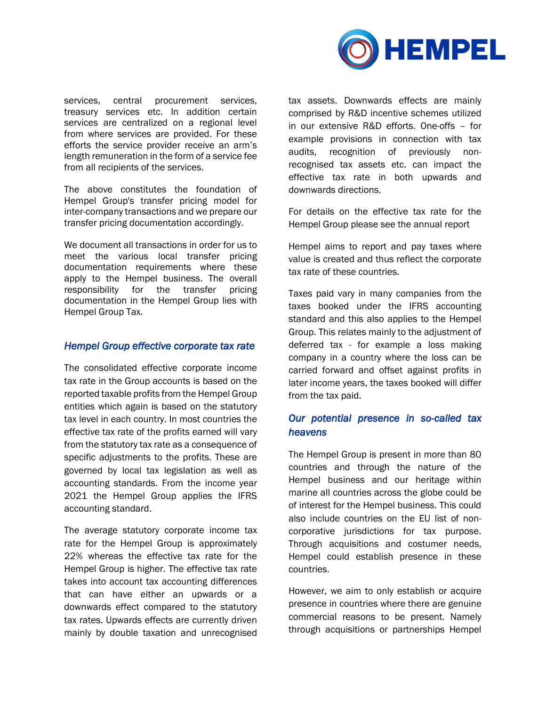

services, central procurement services, treasury services etc. In addition certain services are centralized on a regional level from where services are provided. For these efforts the service provider receive an arm's length remuneration in the form of a service fee from all recipients of the services.

The above constitutes the foundation of Hempel Group's transfer pricing model for inter-company transactions and we prepare our transfer pricing documentation accordingly.

We document all transactions in order for us to meet the various local transfer pricing documentation requirements where these apply to the Hempel business. The overall responsibility for the transfer pricing documentation in the Hempel Group lies with Hempel Group Tax.

## *Hempel Group effective corporate tax rate*

The consolidated effective corporate income tax rate in the Group accounts is based on the reported taxable profits from the Hempel Group entities which again is based on the statutory tax level in each country. In most countries the effective tax rate of the profits earned will vary from the statutory tax rate as a consequence of specific adjustments to the profits. These are governed by local tax legislation as well as accounting standards. From the income year 2021 the Hempel Group applies the IFRS accounting standard.

The average statutory corporate income tax rate for the Hempel Group is approximately 22% whereas the effective tax rate for the Hempel Group is higher. The effective tax rate takes into account tax accounting differences that can have either an upwards or a downwards effect compared to the statutory tax rates. Upwards effects are currently driven mainly by double taxation and unrecognised tax assets. Downwards effects are mainly comprised by R&D incentive schemes utilized in our extensive R&D efforts. One-offs – for example provisions in connection with tax audits, recognition of previously nonrecognised tax assets etc. can impact the effective tax rate in both upwards and downwards directions.

For details on the effective tax rate for the Hempel Group please see the annual report

Hempel aims to report and pay taxes where value is created and thus reflect the corporate tax rate of these countries.

Taxes paid vary in many companies from the taxes booked under the IFRS accounting standard and this also applies to the Hempel Group. This relates mainly to the adjustment of deferred tax - for example a loss making company in a country where the loss can be carried forward and offset against profits in later income years, the taxes booked will differ from the tax paid.

## *Our potential presence in so-called tax heavens*

The Hempel Group is present in more than 80 countries and through the nature of the Hempel business and our heritage within marine all countries across the globe could be of interest for the Hempel business. This could also include countries on the EU list of noncorporative jurisdictions for tax purpose. Through acquisitions and costumer needs, Hempel could establish presence in these countries.

However, we aim to only establish or acquire presence in countries where there are genuine commercial reasons to be present. Namely through acquisitions or partnerships Hempel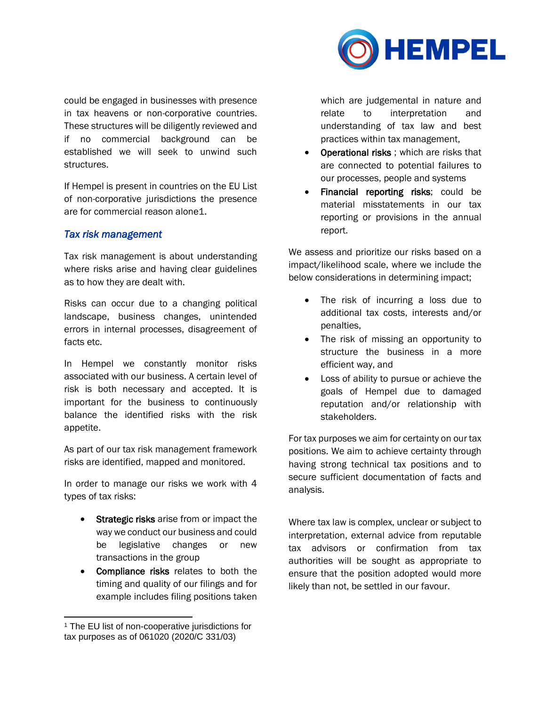

could be engaged in businesses with presence in tax heavens or non-corporative countries. These structures will be diligently reviewed and if no commercial background can be established we will seek to unwind such structures.

If Hempel is present in countries on the EU List of non-corporative jurisdictions the presence are for commercial reason alone1.

## *Tax risk management*

Tax risk management is about understanding where risks arise and having clear guidelines as to how they are dealt with.

Risks can occur due to a changing political landscape, business changes, unintended errors in internal processes, disagreement of facts etc.

In Hempel we constantly monitor risks associated with our business. A certain level of risk is both necessary and accepted. It is important for the business to continuously balance the identified risks with the risk appetite.

As part of our tax risk management framework risks are identified, mapped and monitored.

In order to manage our risks we work with 4 types of tax risks:

- Strategic risks arise from or impact the way we conduct our business and could be legislative changes or new transactions in the group
- Compliance risks relates to both the timing and quality of our filings and for example includes filing positions taken

which are judgemental in nature and relate to interpretation and understanding of tax law and best practices within tax management,

- **Operational risks**; which are risks that are connected to potential failures to our processes, people and systems
- Financial reporting risks; could be material misstatements in our tax reporting or provisions in the annual report.

We assess and prioritize our risks based on a impact/likelihood scale, where we include the below considerations in determining impact;

- The risk of incurring a loss due to additional tax costs, interests and/or penalties,
- The risk of missing an opportunity to structure the business in a more efficient way, and
- Loss of ability to pursue or achieve the goals of Hempel due to damaged reputation and/or relationship with stakeholders.

For tax purposes we aim for certainty on our tax positions. We aim to achieve certainty through having strong technical tax positions and to secure sufficient documentation of facts and analysis.

Where tax law is complex, unclear or subject to interpretation, external advice from reputable tax advisors or confirmation from tax authorities will be sought as appropriate to ensure that the position adopted would more likely than not, be settled in our favour.

<sup>&</sup>lt;sup>1</sup> The EU list of non-cooperative jurisdictions for tax purposes as of 061020 (2020/C 331/03)